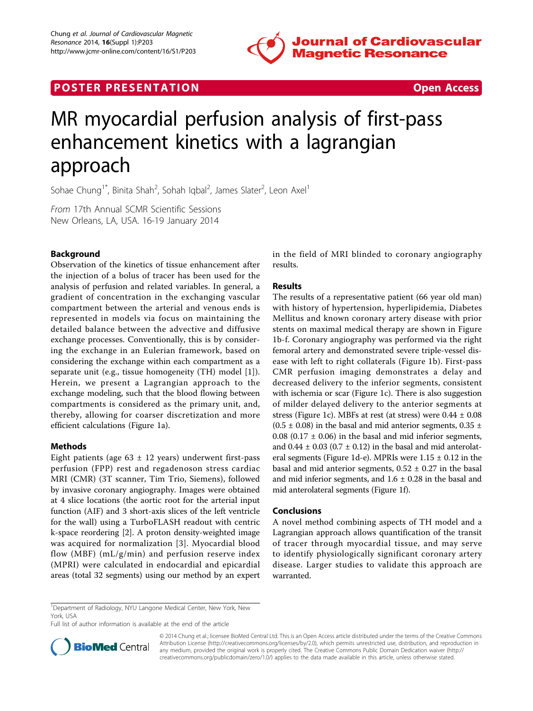

## **POSTER PRESENTATION CONSUMING THE SECOND CONSUMING THE SECOND CONSUMING THE SECOND CONSUMING THE SECOND CONSUMING THE SECOND CONSUMING THE SECOND CONSUMING THE SECOND CONSUMING THE SECOND CONSUMING THE SECOND CONSUMING**



# MR myocardial perfusion analysis of first-pass enhancement kinetics with a lagrangian approach

Sohae Chung<sup>1\*</sup>, Binita Shah<sup>2</sup>, Sohah Iqbal<sup>2</sup>, James Slater<sup>2</sup>, Leon Axel<sup>1</sup>

From 17th Annual SCMR Scientific Sessions New Orleans, LA, USA. 16-19 January 2014

## Background

Observation of the kinetics of tissue enhancement after the injection of a bolus of tracer has been used for the analysis of perfusion and related variables. In general, a gradient of concentration in the exchanging vascular compartment between the arterial and venous ends is represented in models via focus on maintaining the detailed balance between the advective and diffusive exchange processes. Conventionally, this is by considering the exchange in an Eulerian framework, based on considering the exchange within each compartment as a separate unit (e.g., tissue homogeneity (TH) model [[1\]](#page-1-0)). Herein, we present a Lagrangian approach to the exchange modeling, such that the blood flowing between compartments is considered as the primary unit, and, thereby, allowing for coarser discretization and more efficient calculations (Figure [1a\)](#page-1-0).

### Methods

Eight patients (age  $63 \pm 12$  years) underwent first-pass perfusion (FPP) rest and regadenoson stress cardiac MRI (CMR) (3T scanner, Tim Trio, Siemens), followed by invasive coronary angiography. Images were obtained at 4 slice locations (the aortic root for the arterial input function (AIF) and 3 short-axis slices of the left ventricle for the wall) using a TurboFLASH readout with centric k-space reordering [[2\]](#page-1-0). A proton density-weighted image was acquired for normalization [[3](#page-1-0)]. Myocardial blood flow (MBF) (mL/g/min) and perfusion reserve index (MPRI) were calculated in endocardial and epicardial areas (total 32 segments) using our method by an expert

in the field of MRI blinded to coronary angiography results.

## Results

The results of a representative patient (66 year old man) with history of hypertension, hyperlipidemia, Diabetes Mellitus and known coronary artery disease with prior stents on maximal medical therapy are shown in Figure [1b-f.](#page-1-0) Coronary angiography was performed via the right femoral artery and demonstrated severe triple-vessel disease with left to right collaterals (Figure [1b](#page-1-0)). First-pass CMR perfusion imaging demonstrates a delay and decreased delivery to the inferior segments, consistent with ischemia or scar (Figure [1c\)](#page-1-0). There is also suggestion of milder delayed delivery to the anterior segments at stress (Figure [1c\)](#page-1-0). MBFs at rest (at stress) were  $0.44 \pm 0.08$  $(0.5 \pm 0.08)$  in the basal and mid anterior segments, 0.35  $\pm$ 0.08 (0.17  $\pm$  0.06) in the basal and mid inferior segments, and  $0.44 \pm 0.03$  (0.7  $\pm$  0.12) in the basal and mid anterolat-eral segments (Figure [1d-e\)](#page-1-0). MPRIs were  $1.15 \pm 0.12$  in the basal and mid anterior segments,  $0.52 \pm 0.27$  in the basal and mid inferior segments, and  $1.6 \pm 0.28$  in the basal and mid anterolateral segments (Figure [1f](#page-1-0)).

### Conclusions

A novel method combining aspects of TH model and a Lagrangian approach allows quantification of the transit of tracer through myocardial tissue, and may serve to identify physiologically significant coronary artery disease. Larger studies to validate this approach are warranted.

Full list of author information is available at the end of the article



© 2014 Chung et al.; licensee BioMed Central Ltd. This is an Open Access article distributed under the terms of the Creative Commons Attribution License [\(http://creativecommons.org/licenses/by/2.0](http://creativecommons.org/licenses/by/2.0)), which permits unrestricted use, distribution, and reproduction in any medium, provided the original work is properly cited. The Creative Commons Public Domain Dedication waiver [\(http://](http://creativecommons.org/publicdomain/zero/1.0/) [creativecommons.org/publicdomain/zero/1.0/](http://creativecommons.org/publicdomain/zero/1.0/)) applies to the data made available in this article, unless otherwise stated.

<sup>&</sup>lt;sup>1</sup>Department of Radiology, NYU Langone Medical Center, New York, New York, USA